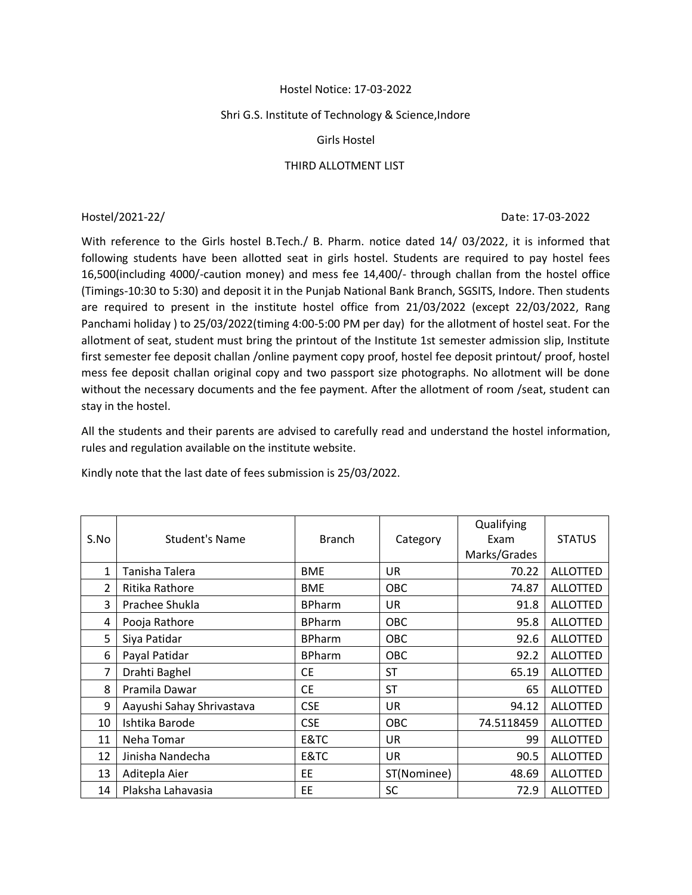# Hostel Notice: 17-03-2022

# Shri G.S. Institute of Technology & Science,Indore

# Girls Hostel

# THIRD ALLOTMENT LIST

#### Hostel/2021-22/ Date: 17-03-2022

With reference to the Girls hostel B.Tech./ B. Pharm. notice dated 14/ 03/2022, it is informed that following students have been allotted seat in girls hostel. Students are required to pay hostel fees 16,500(including 4000/-caution money) and mess fee 14,400/- through challan from the hostel office (Timings-10:30 to 5:30) and deposit it in the Punjab National Bank Branch, SGSITS, Indore. Then students are required to present in the institute hostel office from 21/03/2022 (except 22/03/2022, Rang Panchami holiday ) to 25/03/2022(timing 4:00-5:00 PM per day) for the allotment of hostel seat. For the allotment of seat, student must bring the printout of the Institute 1st semester admission slip, Institute first semester fee deposit challan /online payment copy proof, hostel fee deposit printout/ proof, hostel mess fee deposit challan original copy and two passport size photographs. No allotment will be done without the necessary documents and the fee payment. After the allotment of room /seat, student can stay in the hostel.

All the students and their parents are advised to carefully read and understand the hostel information, rules and regulation available on the institute website.

Kindly note that the last date of fees submission is 25/03/2022.

| S.No           | Student's Name            | <b>Branch</b> | Category    | Qualifying<br>Exam<br>Marks/Grades | <b>STATUS</b>   |
|----------------|---------------------------|---------------|-------------|------------------------------------|-----------------|
| 1              | Tanisha Talera            | <b>BME</b>    | <b>UR</b>   | 70.22                              | <b>ALLOTTED</b> |
| $\overline{2}$ | Ritika Rathore            | <b>BME</b>    | OBC         | 74.87                              | <b>ALLOTTED</b> |
| 3              | Prachee Shukla            | <b>BPharm</b> | UR.         | 91.8                               | <b>ALLOTTED</b> |
| 4              | Pooja Rathore             | <b>BPharm</b> | <b>OBC</b>  | 95.8                               | <b>ALLOTTED</b> |
| 5              | Siya Patidar              | <b>BPharm</b> | <b>OBC</b>  | 92.6                               | <b>ALLOTTED</b> |
| 6              | Payal Patidar             | <b>BPharm</b> | <b>OBC</b>  | 92.2                               | <b>ALLOTTED</b> |
| 7              | Drahti Baghel             | <b>CE</b>     | <b>ST</b>   | 65.19                              | <b>ALLOTTED</b> |
| 8              | Pramila Dawar             | <b>CE</b>     | <b>ST</b>   | 65                                 | <b>ALLOTTED</b> |
| 9              | Aayushi Sahay Shrivastava | <b>CSE</b>    | <b>UR</b>   | 94.12                              | <b>ALLOTTED</b> |
| 10             | Ishtika Barode            | <b>CSE</b>    | OBC         | 74.5118459                         | <b>ALLOTTED</b> |
| 11             | Neha Tomar                | E&TC          | UR.         | 99                                 | <b>ALLOTTED</b> |
| 12             | Jinisha Nandecha          | E&TC          | UR          | 90.5                               | <b>ALLOTTED</b> |
| 13             | Aditepla Aier             | EE            | ST(Nominee) | 48.69                              | <b>ALLOTTED</b> |
| 14             | Plaksha Lahavasia         | EE            | <b>SC</b>   | 72.9                               | <b>ALLOTTED</b> |